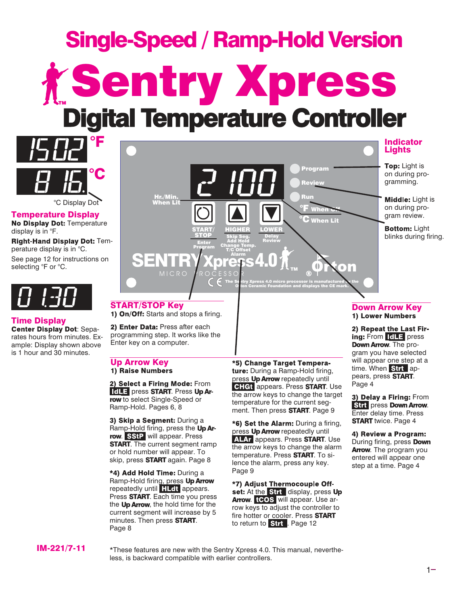# °F Sentry Xpress Digital Temperature Controller Single-Speed / Ramp-Hold Version

 $\rm ^{\circ}C$ °C Display Dot

Temperature Display No Display Dot: Temperature display is in °F. Right-Hand Display Dot: Temperature display is in °C.

See page 12 for instructions on selecting  ${}^{\circ}$ F or  ${}^{\circ}$ C.

#### Time Display

Center Display Dot: Separates hours from minutes. Example: Display shown above is 1 hour and 30 minutes.



START/STOP Key 1) On/Off: Starts and stops a firing.

2) Enter Data: Press after each programming step. It works like the Enter key on a computer.

## **Up Arrow Key**<br>1) Raise Numbers

2) Select a Firing Mode: From **IdLE** press **START**. Press Up Arrow to select Single-Speed or Ramp-Hold. Pages 6, 8

3) Skip a Segment: During a Ramp-Hold firing, press the Up Arrow. SStP will appear. Press **START**. The current segment ramp or hold number will appear. To skip, press **START** again. Page 8

\*4) Add Hold Time: During a Ramp-Hold firing, press Up Arrow repeatedly until **HLdt** appears. Press **START**. Each time you press the Up Arrow, the hold time for the current segment will increase by 5 minutes. Then press **START**. Page 8

\*5) Change Target Temperature: During a Ramp-Hold firing, press Up Arrow repeatedly until **CHGt** appears. Press **START**. Use the arrow keys to change the target temperature for the current segment. Then press **START**. Page 9

\*6) Set the Alarm: During a firing, press Up Arrow repeatedly until ALAr appears. Press START. Use the arrow keys to change the alarm temperature. Press **START**. To silence the alarm, press any key. Page 9

\*7) Adjust Thermocouple Offset: At the Strt display, press Up Arrow. tCOS will appear. Use arrow keys to adjust the controller to fire hotter or cooler. Press START to return to Strt . Page 12

## **Down Arrow Key**<br>1) Lower Numbers

2) Repeat the Last Firing: From IdlE press **Down Arrow.** The program you have selected will appear one step at a time. When Strt appears, press **START**. Page 4

3) Delay a Firing: From **Strt** press **Down Arrow.** Enter delay time. Press **START** twice. Page 4

4) Review a Program: During firing, press Down Arrow. The program you entered will appear one step at a time. Page 4

### IM-221/7-11

\*These features are new with the Sentry Xpress 4.0. This manual, nevertheless, is backward compatible with earlier controllers.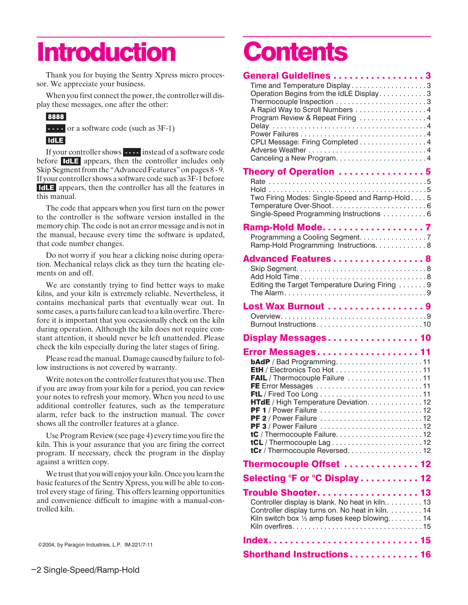## Introduction

Thank you for buying the Sentry Xpress micro processor. We appreciate your business.

When you first connect the power, the controller will display these messages, one after the other:

8888 or a software code (such as 3F-1)

**IdLE** 

If your controller shows **instead of a software code** before **IdLE** appears, then the controller includes only Skip Segment from the "Advanced Features" on pages 8 - 9. If your controller shows a software code such as 3F-1 before appears, then the controller has all the features in this manual.

The code that appears when you first turn on the power to the controller is the software version installed in the memory chip. The code is not an error message and is not in the manual, because every time the software is updated, that code number changes.

Do not worry if you hear a clicking noise during operation. Mechanical relays click as they turn the heating elements on and off.

We are constantly trying to find better ways to make kilns, and your kiln is extremely reliable. Nevertheless, it contains mechanical parts that eventually wear out. In some cases, a parts failure can lead to a kiln overfire. Therefore it is important that you occasionally check on the kiln during operation. Although the kiln does not require constant attention, it should never be left unattended. Please check the kiln especially during the later stages of firing.

Please read the manual. Damage caused by failure to follow instructions is not covered by warranty.

Write notes on the controller features that you use. Then if you are away from your kiln for a period, you can review your notes to refresh your memory. When you need to use additional controller features, such as the temperature alarm, refer back to the instruction manual. The cover shows all the controller features at a glance.

Use Program Review (see page 4) every time you fire the kiln. This is your assurance that you are firing the correct program. If necessary, check the program in the display against a written copy.

We trust that you will enjoy your kiln. Once you learn the basic features of the Sentry Xpress, you will be able to control every stage of firing. This offers learning opportunities and convenience difficult to imagine with a manual-controlled kiln.

©2004, by Paragon Industries, L.P. IM-221/7-11

## **Contents**

| General Guidelines 3                                                                                |  |
|-----------------------------------------------------------------------------------------------------|--|
| Time and Temperature Display 3                                                                      |  |
| Operation Begins from the IdLE Display3                                                             |  |
| A Rapid Way to Scroll Numbers 4                                                                     |  |
| Program Review & Repeat Firing 4                                                                    |  |
|                                                                                                     |  |
| CPLt Message: Firing Completed 4                                                                    |  |
|                                                                                                     |  |
| Theory of Operation 5                                                                               |  |
|                                                                                                     |  |
| Two Firing Modes: Single-Speed and Ramp-Hold5                                                       |  |
|                                                                                                     |  |
| Single-Speed Programming Instructions  6                                                            |  |
| Ramp-Hold Mode. 7                                                                                   |  |
| Programming a Cooling Segment. 7<br>Ramp-Hold Programming Instructions. 8                           |  |
| <b>Advanced Features 8</b>                                                                          |  |
|                                                                                                     |  |
| Add Hold Time8<br>Editing the Target Temperature During Firing  9                                   |  |
|                                                                                                     |  |
| Lost Wax Burnout 9                                                                                  |  |
|                                                                                                     |  |
| Display Messages 10                                                                                 |  |
|                                                                                                     |  |
| Error Messages 11                                                                                   |  |
|                                                                                                     |  |
| FAIL / Thermocouple Failure 11<br>FE Error Messages 11                                              |  |
|                                                                                                     |  |
| HTdE / High Temperature Deviation. 12<br>. 12<br><b>PF 1</b> / Power Failure $\ldots$ .             |  |
|                                                                                                     |  |
|                                                                                                     |  |
|                                                                                                     |  |
| tCr / Thermocouple Reversed. 12                                                                     |  |
| Thermocouple Offset  12                                                                             |  |
| Selecting °F or °C Display 12                                                                       |  |
| Trouble Shooter 13                                                                                  |  |
| Controller display is blank. No heat in kiln 13<br>Controller display turns on. No heat in kiln. 14 |  |
| Kiln switch box $\frac{1}{2}$ amp fuses keep blowing 14                                             |  |
|                                                                                                     |  |
|                                                                                                     |  |
|                                                                                                     |  |

Shorthand Instructions. . . . . . . . . . . . . 16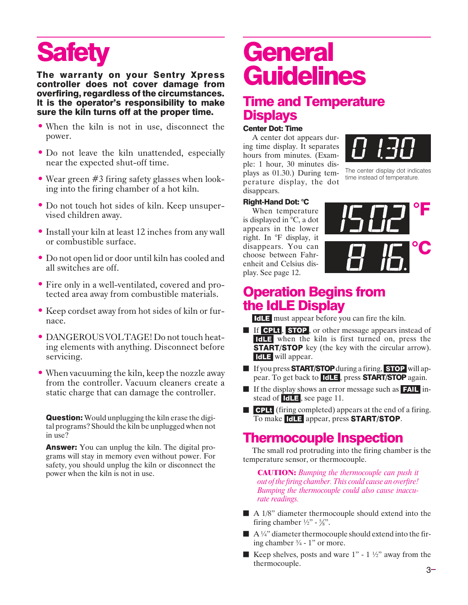## **Safety**

The warranty on your Sentry Xpress controller does not cover damage from overfiring, regardless of the circumstances. It is the operator's responsibility to make sure the kiln turns off at the proper time.

- When the kiln is not in use, disconnect the power.
- Do not leave the kiln unattended, especially near the expected shut-off time.
- Wear green #3 firing safety glasses when looking into the firing chamber of a hot kiln.
- Do not touch hot sides of kiln. Keep unsupervised children away.
- Install your kiln at least 12 inches from any wall or combustible surface.
- Do not open lid or door until kiln has cooled and all switches are off.
- Fire only in a well-ventilated, covered and protected area away from combustible materials.
- Keep cordset away from hot sides of kiln or furnace.
- DANGEROUS VOLTAGE! Do not touch heating elements with anything. Disconnect before servicing.
- When vacuuming the kiln, keep the nozzle away from the controller. Vacuum cleaners create a static charge that can damage the controller.

**Question:** Would unplugging the kiln erase the digital programs? Should the kiln be unplugged when not in use?

Answer: You can unplug the kiln. The digital programs will stay in memory even without power. For safety, you should unplug the kiln or disconnect the power when the kiln is not in use.

## **General** Guidelines

## Time and Temperature **Displays**

#### Center Dot: Time

A center dot appears during time display. It separates hours from minutes. (Example: 1 hour, 30 minutes displays as 01.30.) During temperature display, the dot disappears.



The center display dot indicates time instead of temperature.

#### Right-Hand Dot: °C

When temperature is displayed in °C, a dot appears in the lower right. In °F display, it disappears. You can choose between Fahrenheit and Celsius display. See page 12.



### Operation Begins from the IdLE Display

**CLE** must appear before you can fire the kiln.

- $\Box$  If CPLt, STOP, or other message appears instead of **IDLE** when the kiln is first turned on, press the **START/STOP** key (the key with the circular arrow). **IdLE** will appear.
- $\blacksquare$  If you press **START/STOP** during a firing, **STOP** will appear. To get back to **Idle,** press **START/STOP** again.
- If the display shows an error message such as **FAIL** instead of  $\overline{I}$   $\overline{C}$   $\overline{I}$ , see page 11.
- **CPLt** (firing completed) appears at the end of a firing. To make **Idle** appear, press **START/STOP**.

### Thermocouple Inspection

The small rod protruding into the firing chamber is the temperature sensor, or thermocouple.

**CAUTION:** *Bumping the thermocouple can push it out of the firing chamber. This could cause an overfire! Bumping the thermocouple could also cause inaccurate readings.*

- A 1/8" diameter thermocouple should extend into the firing chamber  $\frac{1}{2}$ " -  $\frac{5}{8}$ ".
- $\blacksquare$  A 1/4" diameter thermocouple should extend into the firing chamber  $\frac{3}{4}$  - 1" or more.
- Exerprefield Keep shelves, posts and ware  $1" 1 \frac{1}{2}"$  away from the thermocouple.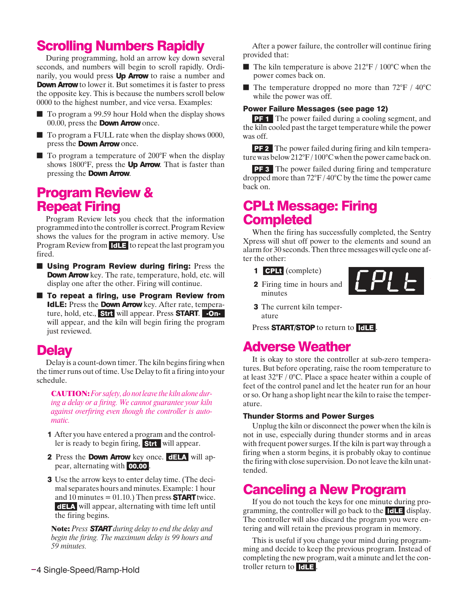## Scrolling Numbers Rapidly

During programming, hold an arrow key down several seconds, and numbers will begin to scroll rapidly. Ordinarily, you would press **Up Arrow** to raise a number and **Down Arrow** to lower it. But sometimes it is faster to press the opposite key. This is because the numbers scroll below 0000 to the highest number, and vice versa. Examples:

- To program a 99.59 hour Hold when the display shows  $00.00$ , press the **Down Arrow** once.
- To program a FULL rate when the display shows 0000, press the **Down Arrow** once.
- To program a temperature of 200°F when the display shows 1800 $\degree$ F, press the **Up Arrow**. That is faster than pressing the **Down Arrow**.

## Program Review & Repeat Firing

Program Review lets you check that the information programmed into the controller is correct. Program Review shows the values for the program in active memory. Use Program Review from  $\overline{G}$  to repeat the last program you fired.

- Using Program Review during firing: Press the **Down Arrow** key. The rate, temperature, hold, etc. will display one after the other. Firing will continue.
- To repeat a firing, use Program Review from **IdLE:** Press the **Down Arrow** key. After rate, temperature, hold, etc., **Strt** will appear. Press **START.** - Onwill appear, and the kiln will begin firing the program just reviewed.

## **Delay**

Delay is a count-down timer. The kiln begins firing when the timer runs out of time. Use Delay to fit a firing into your schedule.

**CAUTION:** *For safety, do not leave the kiln alone during a delay or a firing. We cannot guarantee your kiln against overfiring even though the controller is automatic.*

- After you have entered a program and the controller is ready to begin firing, **Strt** will appear.
- 2 Press the **Down Arrow** key once. **dELA** will appear, alternating with **00.00**.
- **3** Use the arrow keys to enter delay time. (The decimal separates hours and minutes. Example: 1 hour and 10 minutes  $= 01.10$ .) Then press **START** twice. will appear, alternating with time left until the firing begins.

**Note:** Press **START** during delay to end the delay and *begin the firing. The maximum delay is 99 hours and 59 minutes.*

After a power failure, the controller will continue firing provided that:

- The kiln temperature is above 212°F / 100°C when the power comes back on.
- $\blacksquare$  The temperature dropped no more than 72°F / 40°C while the power was off.

#### Power Failure Messages (see page 12)

**PF 1** The power failed during a cooling segment, and the kiln cooled past the target temperature while the power was off.

**PF2** The power failed during firing and kiln temperature was below 212°F / 100°C when the power came back on.

**PF3** The power failed during firing and temperature dropped more than 72°F / 40°C by the time the power came back on.

### CPLt Message: Firing **Completed**

When the firing has successfully completed, the Sentry Xpress will shut off power to the elements and sound an alarm for 30 seconds. Then three messages will cycle one after the other:

1 **CPLt** (complete)

minutes

- **2** Firing time in hours and
- **3** The current kiln temperature

Press **START/STOP** to return to **IGLE**.

## Adverse Weather

It is okay to store the controller at sub-zero temperatures. But before operating, raise the room temperature to at least 32°F / 0°C. Place a space heater within a couple of feet of the control panel and let the heater run for an hour or so. Or hang a shop light near the kiln to raise the temperature.

#### Thunder Storms and Power Surges

Unplug the kiln or disconnect the power when the kiln is not in use, especially during thunder storms and in areas with frequent power surges. If the kiln is part way through a firing when a storm begins, it is probably okay to continue the firing with close supervision. Do not leave the kiln unattended.

## Canceling a New Program

If you do not touch the keys for one minute during programming, the controller will go back to the **IdLE** display. The controller will also discard the program you were entering and will retain the previous program in memory.

This is useful if you change your mind during programming and decide to keep the previous program. Instead of completing the new program, wait a minute and let the controller return to  $\overline{G}$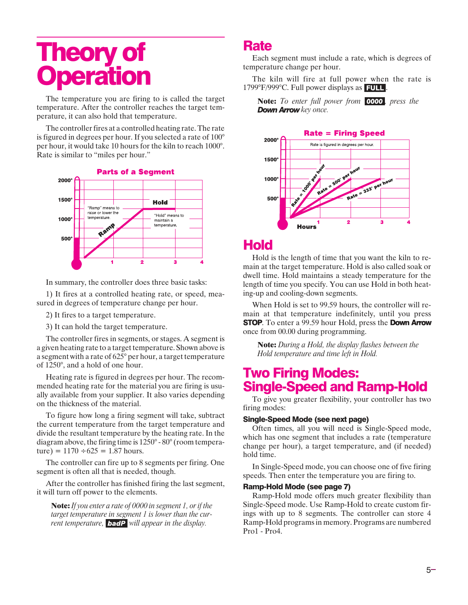## Theory of **Operation**

The temperature you are firing to is called the target temperature. After the controller reaches the target temperature, it can also hold that temperature.

The controller fires at a controlled heating rate. The rate is figured in degrees per hour. If you selected a rate of 100° per hour, it would take 10 hours for the kiln to reach 1000°. Rate is similar to "miles per hour."



In summary, the controller does three basic tasks:

1) It fires at a controlled heating rate, or speed, measured in degrees of temperature change per hour.

2) It fires to a target temperature.

3) It can hold the target temperature.

The controller fires in segments, or stages. A segment is a given heating rate to a target temperature. Shown above is a segment with a rate of 625° per hour, a target temperature of 1250°, and a hold of one hour.

Heating rate is figured in degrees per hour. The recommended heating rate for the material you are firing is usually available from your supplier. It also varies depending on the thickness of the material.

To figure how long a firing segment will take, subtract the current temperature from the target temperature and divide the resultant temperature by the heating rate. In the diagram above, the firing time is 1250° - 80° (room temperature) =  $1170 \div 625 = 1.87$  hours.

The controller can fire up to 8 segments per firing. One segment is often all that is needed, though.

After the controller has finished firing the last segment, it will turn off power to the elements.

**Note:** *If you enter a rate of 0000 in segment 1, or if the target temperature in segment 1 is lower than the current temperature,* **badP** will appear in the display.

### Rate

Each segment must include a rate, which is degrees of temperature change per hour.

The kiln will fire at full power when the rate is 1799°F/999°C. Full power displays as **FULL** 

**Note:** *To enter full power from* **0000**, *press the* **Down Arrow** key once.



### Hold

Hold is the length of time that you want the kiln to remain at the target temperature. Hold is also called soak or dwell time. Hold maintains a steady temperature for the length of time you specify. You can use Hold in both heating-up and cooling-down segments.

When Hold is set to 99.59 hours, the controller will remain at that temperature indefinitely, until you press **STOP.** To enter a 99.59 hour Hold, press the **Down Arrow** once from 00.00 during programming.

**Note:** *During a Hold, the display flashes between the Hold temperature and time left in Hold.*

### Two Firing Modes: Single-Speed and Ramp-Hold

To give you greater flexibility, your controller has two firing modes:

#### Single-Speed Mode (see next page)

Often times, all you will need is Single-Speed mode, which has one segment that includes a rate (temperature change per hour), a target temperature, and (if needed) hold time.

In Single-Speed mode, you can choose one of five firing speeds. Then enter the temperature you are firing to.

#### Ramp-Hold Mode (see page 7)

Ramp-Hold mode offers much greater flexibility than Single-Speed mode. Use Ramp-Hold to create custom firings with up to 8 segments. The controller can store 4 Ramp-Hold programs in memory. Programs are numbered Pro1 - Pro4.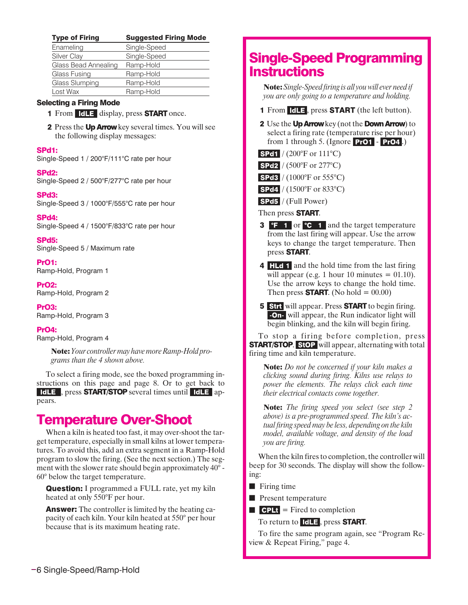| <b>Type of Firing</b> | <b>Suggested Firing Mode</b> |
|-----------------------|------------------------------|
| Enameling             | Single-Speed                 |
| Silver Clay           | Single-Speed                 |
| Glass Bead Annealing  | Ramp-Hold                    |
| Glass Fusing          | Ramp-Hold                    |
| Glass Slumping        | Ramp-Hold                    |
| Lost Wax              | Ramp-Hold                    |

#### Selecting a Firing Mode

- 1 From **dl =** display, press **START** once.
- 2 Press the Up Arrow key several times. You will see the following display messages:

#### SPd1:

Single-Speed 1 / 200°F/111°C rate per hour

#### SPd2:

Single-Speed 2 / 500°F/277°C rate per hour

SPd3: Single-Speed 3 / 1000°F/555°C rate per hour

SPd4: Single-Speed 4 / 1500°F/833°C rate per hour

SPd5: Single-Speed 5 / Maximum rate

PrO1: Ramp-Hold, Program 1

PrO2: Ramp-Hold, Program 2

PrO3: Ramp-Hold, Program 3

PrO4: Ramp-Hold, Program 4

> **Note:** *Your controller may have more Ramp-Hold programs than the 4 shown above.*

To select a firing mode, see the boxed programming instructions on this page and page 8. Or to get back to **IdLE**, press **START/STOP** several times until **IdLE** appears.

## Temperature Over-Shoot

When a kiln is heated too fast, it may over-shoot the target temperature, especially in small kilns at lower temperatures. To avoid this, add an extra segment in a Ramp-Hold program to slow the firing. (See the next section.) The segment with the slower rate should begin approximately 40° - 60° below the target temperature.

**Question:** I programmed a FULL rate, yet my kiln heated at only 550°F per hour.

**Answer:** The controller is limited by the heating capacity of each kiln. Your kiln heated at 550° per hour because that is its maximum heating rate.

## Single-Speed Programming **Instructions**

**Note:** *Single-Speed firing is all you will ever need if you are only going to a temperature and holding.*

- 1 From  $\boxed{d1.3}$ , press **START** (the left button).
- 2 Use the Up Arrow key (not the Down Arrow) to select a firing rate (temperature rise per hour) from 1 through 5. (Ignore  $Pro1 - Pro4$ .)

|  |  | <b>SPd1</b> / $(200^{\circ}$ F or $111^{\circ}$ C) |  |  |  |
|--|--|----------------------------------------------------|--|--|--|
|--|--|----------------------------------------------------|--|--|--|

| <b>SPd2</b> / $(500^{\circ}$ F or 277°C) |
|------------------------------------------|
|------------------------------------------|

- **SPd3** /  $(1000^{\circ}$ F or 555 $^{\circ}$ C)
- **SPd4** / (1500°F or 833°C)
- **SPd5** / (Full Power)

Then press **START**.

- **3 F** 1 or **C** 1 and the target temperature from the last firing will appear. Use the arrow keys to change the target temperature. Then press START.
- 4 **HLd 1** and the hold time from the last firing will appear (e.g. 1 hour 10 minutes  $= 01.10$ ). Use the arrow keys to change the hold time. Then press **START**. (No hold =  $00.00$ )
- 5 Strt will appear. Press START to begin firing. will appear, the Run indicator light will begin blinking, and the kiln will begin firing.

To stop a firing before completion, press **START/STOP.** StOP will appear, alternating with total firing time and kiln temperature.

**Note:** *Do not be concerned if your kiln makes a clicking sound during firing. Kilns use relays to power the elements. The relays click each time their electrical contacts come together.*

**Note:** *The firing speed you select (see step 2 above) is a pre-programmed speed. The kiln's actual firing speed may be less, depending on the kiln model, available voltage, and density of the load you are firing.*

When the kiln fires to completion, the controller will beep for 30 seconds. The display will show the following:

- Firing time
- Present temperature
- $\blacksquare$  **CPLt** = Fired to completion

To return to  $\boxed{61.5}$ , press **START**.

To fire the same program again, see "Program Review & Repeat Firing," page 4.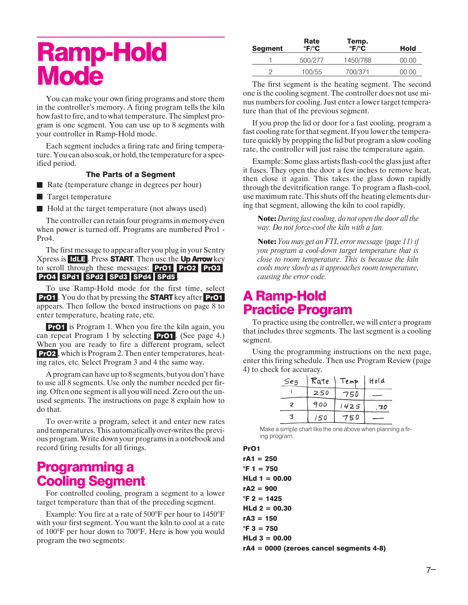## Ramp-Hold **Mode**

You can make your own firing programs and store them in the controller's memory. A firing program tells the kiln how fast to fire, and to what temperature. The simplest program is one segment. You can use up to 8 segments with your controller in Ramp-Hold mode.

Each segment includes a firing rate and firing temperature. You can also soak, or hold, the temperature for a specified period.

#### The Parts of a Segment

■ Rate (temperature change in degrees per hour)

■ Target temperature

■ Hold at the target temperature (not always used)

The controller can retain four programs in memory even when power is turned off. Programs are numbered Pro1 - Pro4.

The first message to appear after you plug in your Sentry Xpress is **IdLE**. Press **START**. Then use the Up Arrow key to scroll through these messages: **PrO1 PrO2 PrO3** PrO4 SPd1 SPd2 SPd3 SPd4 SPd5

To use Ramp-Hold mode for the first time, select **PrO1**. You do that by pressing the **START** key after **PrO1** appears. Then follow the boxed instructions on page 8 to enter temperature, heating rate, etc.

**PrO1** is Program 1. When you fire the kiln again, you can repeat Program 1 by selecting  $Pro1$ . (See page 4.) When you are ready to fire a different program, select **PrO2**, which is Program 2. Then enter temperatures, heating rates, etc. Select Program 3 and 4 the same way.

A program can have up to 8 segments, but you don't have to use all 8 segments. Use only the number needed per firing. Often one segment is all you will need. Zero out the unused segments. The instructions on page 8 explain how to do that.

To over-write a program, select it and enter new rates and temperatures. This automatically over-writes the previous program. Write down your programs in a notebook and record firing results for all firings.

### Programming a Cooling Segment

For controlled cooling, program a segment to a lower target temperature than that of the preceding segment.

Example: You fire at a rate of 500°F per hour to 1450°F with your first segment. You want the kiln to cool at a rate of 100°F per hour down to 700°F. Here is how you would program the two segments:

| <b>Segment</b> | Rate<br>$\mathsf{P} \mathsf{F} \mathsf{P} \mathsf{C}$ | Temp.<br>$\mathrm{PFC}$ | Hold  |
|----------------|-------------------------------------------------------|-------------------------|-------|
|                | 500/277                                               | 1450/788                | 00.00 |
| っ              | 100/55                                                | 700/371                 | 00.00 |

The first segment is the heating segment. The second one is the cooling segment. The controller does not use minus numbers for cooling. Just enter a lower target temperature than that of the previous segment.

If you prop the lid or door for a fast cooling, program a fast cooling rate for that segment. If you lower the temperature quickly by propping the lid but program a slow cooling rate, the controller will just raise the temperature again.

Example: Some glass artists flash-cool the glass just after it fuses. They open the door a few inches to remove heat, then close it again. This takes the glass down rapidly through the devitrification range. To program a flash-cool, use maximum rate. This shuts off the heating elements during that segment, allowing the kiln to cool rapidly.

**Note:** *During fast cooling, do not open the door all the way. Do not force-cool the kiln with a fan.*

**Note:** *You may get an FTL error message (page 11) if you program a cool-down target temperature that is close to room temperature. This is because the kiln cools more slowly as it approaches room temperature, causing the error code.*

### A Ramp-Hold Practice Program

To practice using the controller, we will enter a program that includes three segments. The last segment is a cooling segment.

Using the programming instructions on the next page, enter this firing schedule. Then use Program Review (page 4) to check for accuracy.

| Seg | Rate | Temp  | Hold |
|-----|------|-------|------|
|     | 250  | 75D   |      |
| 2   | 900  | 1425  | 30   |
|     | 150  | フ L D |      |

Make a simple chart like the one above when planning a firing program.

#### PrO1

 $rA1 = 250$  $\degree$ F 1 = 750  $HLd 1 = 00.00$  $rA2 = 900$  $\degree$ F 2 = 1425  $HLd 2 = 00.30$  $rA3 = 150$  $°F 3 = 750$  $HLd$  3 = 00.00 rA4 = 0000 (zeroes cancel segments 4-8)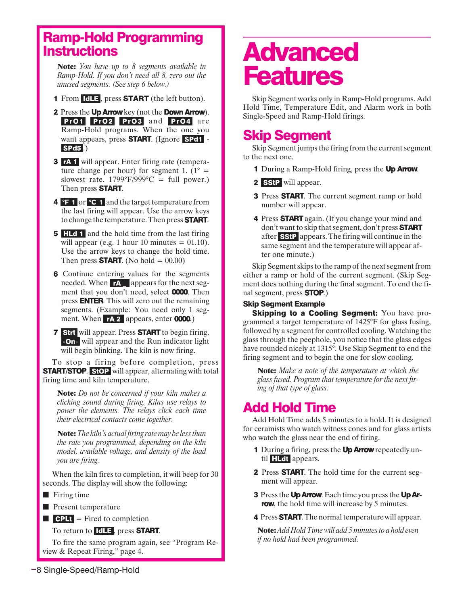### Ramp-Hold Programming Instructions

**Note:** *You have up to 8 segments available in Ramp-Hold. If you don't need all 8, zero out the unused segments. (See step 6 below.)*

- **1** From  $\boxed{d}$  **I.e.**, press **START** (the left button).
- 2 Press the Up Arrow key (not the Down Arrow). PrO1 PrO2 PrO3 and PrO4 are Ramp-Hold programs. When the one you want appears, press **START**. (Ignore **SPd1** - $SPd5.$
- 3 7A 1 will appear. Enter firing rate (temperature change per hour) for segment 1.  $(1^{\circ} =$ slowest rate.  $1799^{\circ}F/999^{\circ}C = \text{full power.}$ Then press **START**.
- **4 F** 1 or **°C** 1 and the target temperature from the last firing will appear. Use the arrow keys to change the temperature. Then press **START**.
- **5 HLd 1** and the hold time from the last firing will appear (e.g. 1 hour 10 minutes  $= 01.10$ ). Use the arrow keys to change the hold time. Then press **START**. (No hold =  $00.00$ )
- **6** Continue entering values for the segments needed. When **rA** appears for the next segment that you don't need, select **0000**. Then press **ENTER**. This will zero out the remaining segments. (Example: You need only 1 segment. When  $\mathbf{r}$   $\mathbf{A}$  **2** appears, enter **0000**.)
- 7 Stri will appear. Press **START** to begin firing. will appear and the Run indicator light will begin blinking. The kiln is now firing.

To stop a firing before completion, press **START/STOP.** StOP will appear, alternating with total firing time and kiln temperature.

**Note:** *Do not be concerned if your kiln makes a clicking sound during firing. Kilns use relays to power the elements. The relays click each time their electrical contacts come together.*

**Note:** *The kiln's actual firing rate may be less than the rate you programmed, depending on the kiln model, available voltage, and density of the load you are firing.*

When the kiln fires to completion, it will beep for 30 seconds. The display will show the following:

- Firing time
- Present temperature
- $\blacksquare$  **CPLt** = Fired to completion
	- To return to  $\blacksquare$   $\blacksquare$ , press **START**.

To fire the same program again, see "Program Review & Repeat Firing," page 4.

## Advanced **Features**

Skip Segment works only in Ramp-Hold programs. Add Hold Time, Temperature Edit, and Alarm work in both Single-Speed and Ramp-Hold firings.

## Skip Segment

Skip Segment jumps the firing from the current segment to the next one.

- **1** During a Ramp-Hold firing, press the **Up Arrow**.
- 2 **SStP** will appear.
- 3 Press START. The current segment ramp or hold number will appear.
- 4 Press **START** again. (If you change your mind and don't want to skip that segment, don't press **START** after **SStP** appears. The firing will continue in the same segment and the temperature will appear after one minute.)

Skip Segment skips to the ramp of the next segment from either a ramp or hold of the current segment. (Skip Segment does nothing during the final segment. To end the final segment, press  $STOP$ .)

#### Skip Segment Example

Skipping to a Cooling Segment: You have programmed a target temperature of 1425°F for glass fusing, followed by a segment for controlled cooling. Watching the glass through the peephole, you notice that the glass edges have rounded nicely at 1315°. Use Skip Segment to end the firing segment and to begin the one for slow cooling.

**Note:** *Make a note of the temperature at which the glass fused. Program that temperature for the next firing of that type of glass.*

## Add Hold Time

Add Hold Time adds 5 minutes to a hold. It is designed for ceramists who watch witness cones and for glass artists who watch the glass near the end of firing.

- **1** During a firing, press the **Up Arrow** repeatedly until **HLdt** appears.
- 2 Press **START**. The hold time for the current segment will appear.
- 3 Press the Up Arrow. Each time you press the Up Arrow, the hold time will increase by 5 minutes.
- 4 Press **START**. The normal temperature will appear.

**Note:** *Add Hold Time will add 5 minutes to a hold even if no hold had been programmed.*

8 Single-Speed/Ramp-Hold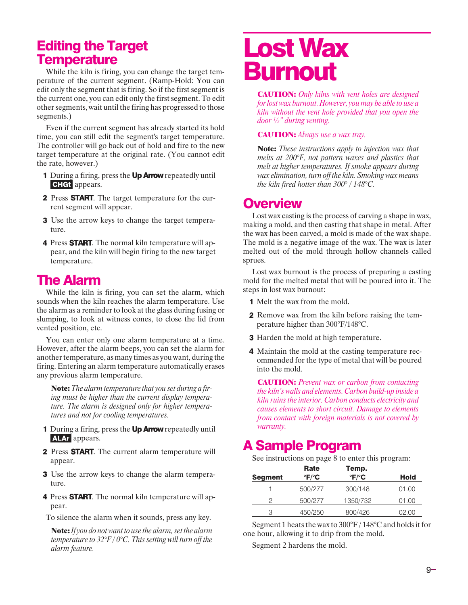## Editing the Target **Temperature**

While the kiln is firing, you can change the target temperature of the current segment. (Ramp-Hold: You can edit only the segment that is firing. So if the first segment is the current one, you can edit only the first segment. To edit other segments, wait until the firing has progressed to those segments.)

Even if the current segment has already started its hold time, you can still edit the segment's target temperature. The controller will go back out of hold and fire to the new target temperature at the original rate. (You cannot edit the rate, however.)

- 1 During a firing, press the Up Arrow repeatedly until **CHGt** appears.
- 2 Press **START**. The target temperature for the current segment will appear.
- **3** Use the arrow keys to change the target temperature.
- 4 Press **START**. The normal kiln temperature will appear, and the kiln will begin firing to the new target temperature.

### The Alarm

While the kiln is firing, you can set the alarm, which sounds when the kiln reaches the alarm temperature. Use the alarm as a reminder to look at the glass during fusing or slumping, to look at witness cones, to close the lid from vented position, etc.

You can enter only one alarm temperature at a time. However, after the alarm beeps, you can set the alarm for another temperature, as many times as you want, during the firing. Entering an alarm temperature automatically erases any previous alarm temperature.

**Note:** *The alarm temperature that you set during a firing must be higher than the current display temperature. The alarm is designed only for higher temperatures and not for cooling temperatures.*

- **1** During a firing, press the **Up Arrow** repeatedly until **ALAr** appears.
- 2 Press **START**. The current alarm temperature will appear.
- **3** Use the arrow keys to change the alarm temperature.
- 4 Press **START**. The normal kiln temperature will appear.

To silence the alarm when it sounds, press any key.

**Note:***If you do not want to use the alarm, set the alarm temperature to 32°F / 0°C. This setting will turn off the alarm feature.*

## Lost Wax Burnout

**CAUTION:** *Only kilns with vent holes are designed for lost wax burnout. However, you may be able to use a kiln without the vent hole provided that you open the door ½" during venting.*

#### **CAUTION:** *Always use a wax tray.*

**Note:** *These instructions apply to injection wax that melts at 200°F, not pattern waxes and plastics that melt at higher temperatures. If smoke appears during wax elimination, turn off the kiln. Smoking wax means the kiln fired hotter than 300° / 148°C.*

### **Overview**

Lost wax casting is the process of carving a shape in wax, making a mold, and then casting that shape in metal. After the wax has been carved, a mold is made of the wax shape. The mold is a negative image of the wax. The wax is later melted out of the mold through hollow channels called sprues.

Lost wax burnout is the process of preparing a casting mold for the melted metal that will be poured into it. The steps in lost wax burnout:

- 1 Melt the wax from the mold.
- 2 Remove wax from the kiln before raising the temperature higher than 300°F/148°C.
- **3** Harden the mold at high temperature.
- 4 Maintain the mold at the casting temperature recommended for the type of metal that will be poured into the mold.

**CAUTION:** *Prevent wax or carbon from contacting the kiln's walls and elements. Carbon build-up inside a kiln ruins the interior. Carbon conducts electricity and causes elements to short circuit. Damage to elements from contact with foreign materials is not covered by warranty.*

## A Sample Program

See instructions on page 8 to enter this program:

| <b>Segment</b> | Rate<br>$\mathrm{P} \mathsf{F} \mathrm{P} \mathsf{C}$ | Temp.<br>$\mathrm{P} \mathsf{F} \mathrm{P} \mathsf{C}$ | Hold  |
|----------------|-------------------------------------------------------|--------------------------------------------------------|-------|
|                | 500/277                                               | 300/148                                                | 01.00 |
| っ              | 500/277                                               | 1350/732                                               | 01.00 |
| 3              | 450/250                                               | 800/426                                                | 02.00 |

Segment 1 heats the wax to 300°F / 148°C and holds it for one hour, allowing it to drip from the mold.

Segment 2 hardens the mold.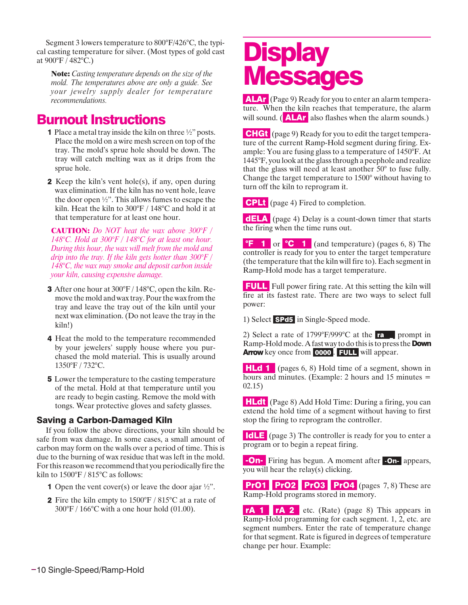Segment 3 lowers temperature to 800°F/426°C, the typical casting temperature for silver. (Most types of gold cast at 900°F / 482°C.)

**Note:** *Casting temperature depends on the size of the mold. The temperatures above are only a guide. See your jewelry supply dealer for temperature recommendations.*

### Burnout Instructions

- **1** Place a metal tray inside the kiln on three  $\frac{1}{2}$  posts. Place the mold on a wire mesh screen on top of the tray. The mold's sprue hole should be down. The tray will catch melting wax as it drips from the sprue hole.
- **2** Keep the kiln's vent hole(s), if any, open during wax elimination. If the kiln has no vent hole, leave the door open ½". This allows fumes to escape the kiln. Heat the kiln to 300°F / 148°C and hold it at that temperature for at least one hour.

**CAUTION:** *Do NOT heat the wax above 300°F / 148°C. Hold at 300°F / 148°C for at least one hour. During this hour, the wax will melt from the mold and drip into the tray. If the kiln gets hotter than 300°F / 148°C, the wax may smoke and deposit carbon inside your kiln, causing expensive damage.*

- 3 After one hour at 300°F / 148°C, open the kiln. Remove the mold and wax tray. Pour the wax from the tray and leave the tray out of the kiln until your next wax elimination. (Do not leave the tray in the kiln!)
- 4 Heat the mold to the temperature recommended by your jewelers' supply house where you purchased the mold material. This is usually around 1350°F / 732°C.
- **5** Lower the temperature to the casting temperature of the metal. Hold at that temperature until you are ready to begin casting. Remove the mold with tongs. Wear protective gloves and safety glasses.

#### Saving a Carbon-Damaged Kiln

If you follow the above directions, your kiln should be safe from wax damage. In some cases, a small amount of carbon may form on the walls over a period of time. This is due to the burning of wax residue that was left in the mold. For this reason we recommend that you periodically fire the kiln to 1500°F / 815°C as follows:

- **1** Open the vent cover(s) or leave the door ajar  $\frac{1}{2}$ ".
- **2** Fire the kiln empty to  $1500^{\circ}$ F /  $815^{\circ}$ C at a rate of  $300\textdegree$ F /  $166\textdegree$ C with a one hour hold (01.00).

## **Display Messages**

**ALAr** (Page 9) Ready for you to enter an alarm temperature. When the kiln reaches that temperature, the alarm will sound.  $(ALAr$  also flashes when the alarm sounds.)

**CHGt** (page 9) Ready for you to edit the target temperature of the current Ramp-Hold segment during firing. Example: You are fusing glass to a temperature of 1450°F. At 1445°F, you look at the glass through a peephole and realize that the glass will need at least another 50° to fuse fully. Change the target temperature to 1500° without having to turn off the kiln to reprogram it.

**CPLt** (page 4) Fired to completion.

**dELA** (page 4) Delay is a count-down timer that starts the firing when the time runs out.

**<sup>o</sup>F** 1 or **<sup>o</sup>C** 1 (and temperature) (pages 6, 8) The controller is ready for you to enter the target temperature (the temperature that the kiln will fire to). Each segment in Ramp-Hold mode has a target temperature.

**FULL** Full power firing rate. At this setting the kiln will fire at its fastest rate. There are two ways to select full power:

1) Select **SPd5** in Single-Speed mode.

2) Select a rate of 1799°F/999°C at the **ra** prompt in Ramp-Hold mode. A fast way to do this is to press the **Down** Arrow key once from **0000**. FULL will appear.

**HLd 1** (pages 6, 8) Hold time of a segment, shown in hours and minutes. (Example: 2 hours and 15 minutes = 02.15)

**HLdt** (Page 8) Add Hold Time: During a firing, you can extend the hold time of a segment without having to first stop the firing to reprogram the controller.

(page 3) The controller is ready for you to enter a program or to begin a repeat firing.

**-On-** Firing has begun. A moment after **-On-** appears, you will hear the relay(s) clicking.

**PrO1** PrO2 PrO3 PrO4 (pages  $7, 8$ ) These are Ramp-Hold programs stored in memory.

**rA 1 rA 2** etc. (Rate) (page 8) This appears in Ramp-Hold programming for each segment. 1, 2, etc. are segment numbers. Enter the rate of temperature change for that segment. Rate is figured in degrees of temperature change per hour. Example: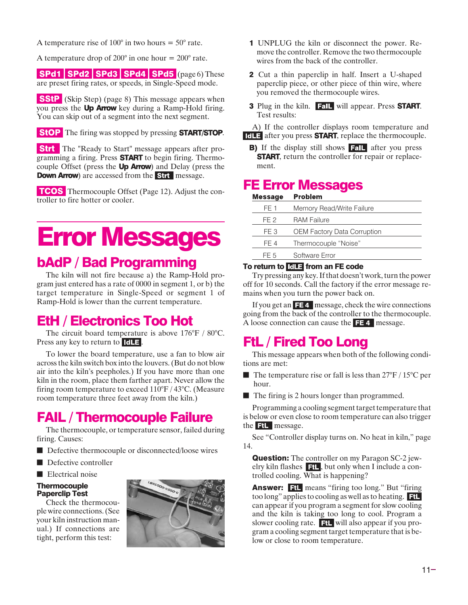A temperature rise of  $100^{\circ}$  in two hours =  $50^{\circ}$  rate.

A temperature drop of  $200^{\circ}$  in one hour =  $200^{\circ}$  rate.

**SPd1 | SPd2 | SPd3 | SPd4 | SPd5**  $_{(page 6)$  These are preset firing rates, or speeds, in Single-Speed mode.

**SStP** (Skip Step) (page 8) This message appears when you press the Up Arrow key during a Ramp-Hold firing. You can skip out of a segment into the next segment.

**StOP** The firing was stopped by pressing **START/STOP**.

**Strt** The "Ready to Start" message appears after programming a firing. Press **START** to begin firing. Thermocouple Offset (press the Up Arrow) and Delay (press the **Down Arrow**) are accessed from the **Strt** message.

**TCOS** Thermocouple Offset (Page 12). Adjust the controller to fire hotter or cooler.

## Error Messages

## bAdP / Bad Programming

The kiln will not fire because a) the Ramp-Hold program just entered has a rate of 0000 in segment 1, or b) the target temperature in Single-Speed or segment 1 of Ramp-Hold is lower than the current temperature.

## EtH / Electronics Too Hot

The circuit board temperature is above  $176^{\circ}$ F / 80 $^{\circ}$ C. Press any key to return to **IdLE**.

To lower the board temperature, use a fan to blow air across the kiln switch box into the louvers. (But do not blow air into the kiln's peepholes.) If you have more than one kiln in the room, place them farther apart. Never allow the firing room temperature to exceed 110°F / 43°C. (Measure room temperature three feet away from the kiln.)

## FAIL / Thermocouple Failure

The thermocouple, or temperature sensor, failed during firing. Causes:

- Defective thermocouple or disconnected/loose wires
- Defective controller
- Electrical noise

#### **Thermocouple** Paperclip Test

Check the thermocouple wire connections. (See your kiln instruction manual.) If connections are tight, perform this test:



- UNPLUG the kiln or disconnect the power. Remove the controller. Remove the two thermocouple wires from the back of the controller.
- **2** Cut a thin paperclip in half. Insert a U-shaped paperclip piece, or other piece of thin wire, where you removed the thermocouple wires.
- **3** Plug in the kiln. **Fall** will appear. Press **START**. Test results:

A) If the controller displays room temperature and **CLE** after you press **START**, replace the thermocouple.

**B)** If the display still shows **Fall** after you press **START**, return the controller for repair or replacement.

### FE Error Messages

| message | rropiem                            |
|---------|------------------------------------|
| FE 1    | Memory Read/Write Failure          |
| FF 2    | <b>RAM Failure</b>                 |
| FE 3    | <b>OEM Factory Data Corruption</b> |
| FF 4    | Thermocouple "Noise"               |
| FF 5    | Software Error                     |
|         |                                    |

#### To return to **FILE** from an FE code

Try pressing any key. If that doesn't work, turn the power off for 10 seconds. Call the factory if the error message remains when you turn the power back on.

If you get an  $FE4$  message, check the wire connections going from the back of the controller to the thermocouple. A loose connection can cause the **FE4** message.

## FtL / Fired Too Long

This message appears when both of the following conditions are met:

- The temperature rise or fall is less than  $27^{\circ}$ F / 15<sup>o</sup>C per hour.
- The firing is 2 hours longer than programmed.

Programming a cooling segment target temperature that is below or even close to room temperature can also trigger the **FIL** message.

See "Controller display turns on. No heat in kiln," page 14.

**Question:** The controller on my Paragon SC-2 jewelry kiln flashes  $\boxed{\text{F1}}$ , but only when I include a controlled cooling. What is happening?

Answer: Fill means "firing too long." But "firing too long" applies to cooling as well as to heating. can appear if you program a segment for slow cooling and the kiln is taking too long to cool. Program a slower cooling rate. FU will also appear if you program a cooling segment target temperature that is below or close to room temperature.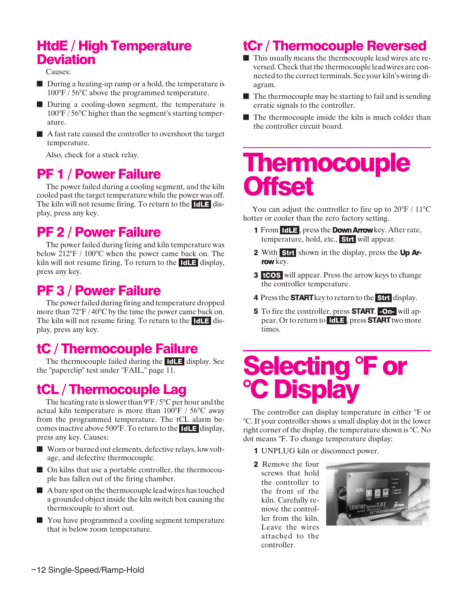## HtdE / High Temperature **Deviation**

Causes:

- During a heating-up ramp or a hold, the temperature is 100°F / 56°C above the programmed temperature.
- During a cooling-down segment, the temperature is 100°F / 56°C higher than the segment's starting temperature.
- A fast rate caused the controller to overshoot the target temperature.

Also, check for a stuck relay.

## PF 1 / Power Failure

The power failed during a cooling segment, and the kiln cooled past the target temperature while the power was off. The kiln will not resume firing. To return to the  $\text{IdLE}$  display, press any key.

## PF 2 / Power Failure

The power failed during firing and kiln temperature was below 212°F / 100°C when the power came back on. The kiln will not resume firing. To return to the  $\overline{dL}$  display, press any key.

## PF 3 / Power Failure

The power failed during firing and temperature dropped more than 72°F / 40°C by the time the power came back on. The kiln will not resume firing. To return to the  $\overline{dI}$  display, press any key.

## tC / Thermocouple Failure

The thermocouple failed during the  $d\mathbf{I}$  display. See the "paperclip" test under "FAIL," page 11.

## tCL / Thermocouple Lag

The heating rate is slower than  $9^{\circ}F/5^{\circ}C$  per hour and the actual kiln temperature is more than 100°F / 56°C away from the programmed temperature. The tCL alarm becomes inactive above  $500^{\circ}$ F. To return to the **IdLE** display, press any key. Causes:

- Worn or burned out elements, defective relays, low voltage, and defective thermocouple.
- On kilns that use a portable controller, the thermocouple has fallen out of the firing chamber.
- A bare spot on the thermocouple lead wires has touched a grounded object inside the kiln switch box causing the thermocouple to short out.
- You have programmed a cooling segment temperature that is below room temperature.

## tCr / Thermocouple Reversed

- This usually means the thermocouple lead wires are reversed. Check that the thermocouple lead wires are connected to the correct terminals. See your kiln's wiring diagram.
- The thermocouple may be starting to fail and is sending erratic signals to the controller.
- The thermocouple inside the kiln is much colder than the controller circuit board.

## **Thermocouple Offset**

You can adjust the controller to fire up to  $20^{\circ}$ F / 11<sup>o</sup>C hotter or cooler than the zero factory setting.

- 1 From  $IdLE$ , press the **Down Arrow** key. After rate, temperature, hold, etc., **Strt** will appear.
- 2 With Stri shown in the display, press the Up Arrow key.
- **3 tCOS** will appear. Press the arrow keys to change the controller temperature.
- 4 Press the **START** key to return to the **Strt** display.
- 5 To fire the controller, press **START.** On- will appear. Or to return to  $\blacksquare$   $\blacksquare$ , press **START** two more times.

## Selecting °F or °C Display

The controller can display temperature in either °F or °C. If your controller shows a small display dot in the lower right corner of the display, the temperature shown is °C. No dot means °F. To change temperature display:

UNPLUG kiln or disconnect power.

**2** Remove the four screws that hold the controller to the front of the kiln. Carefully remove the controller from the kiln. Leave the wires attached to the controller.

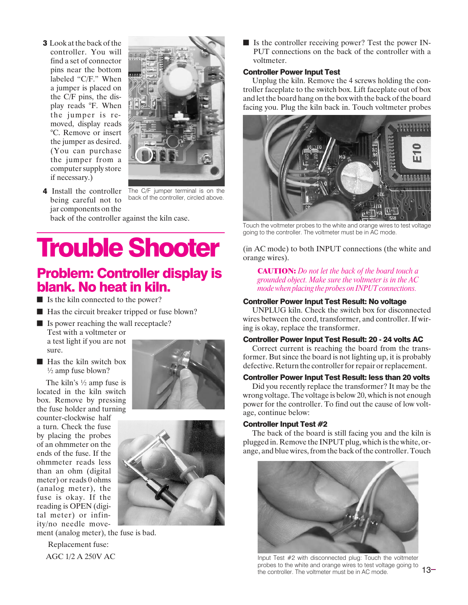**3** Look at the back of the controller. You will find a set of connector pins near the bottom labeled "C/F." When a jumper is placed on the C/F pins, the display reads °F. When the jumper is removed, display reads °C. Remove or insert the jumper as desired. (You can purchase the jumper from a computer supply store if necessary.)



4 Install the controller being careful not to jar components on the

The C/F jumper terminal is on the back of the controller, circled above.

back of the controller against the kiln case.

## Trouble Shooter

### Problem: Controller display is blank. No heat in kiln.

- Is the kiln connected to the power?
- Has the circuit breaker tripped or fuse blown?
- Is power reaching the wall receptacle? Test with a voltmeter or a test light if you are not sure.
- Has the kiln switch box  $\frac{1}{2}$  amp fuse blown?

The kiln's ½ amp fuse is located in the kiln switch box. Remove by pressing the fuse holder and turning

counter-clockwise half a turn. Check the fuse by placing the probes of an ohmmeter on the ends of the fuse. If the ohmmeter reads less than an ohm (digital meter) or reads 0 ohms (analog meter), the fuse is okay. If the reading is OPEN (digital meter) or infinity/no needle move-





ment (analog meter), the fuse is bad.

Replacement fuse: AGC 1/2 A 250V AC ■ Is the controller receiving power? Test the power IN-PUT connections on the back of the controller with a voltmeter.

#### Controller Power Input Test

Unplug the kiln. Remove the 4 screws holding the controller faceplate to the switch box. Lift faceplate out of box and let the board hang on the box with the back of the board facing you. Plug the kiln back in. Touch voltmeter probes



Touch the voltmeter probes to the white and orange wires to test voltage going to the controller. The voltmeter must be in AC mode.

(in AC mode) to both INPUT connections (the white and orange wires).

**CAUTION:** *Do not let the back of the board touch a grounded object. Make sure the voltmeter is in the AC mode when placing the probes on INPUT connections.*

#### Controller Power Input Test Result: No voltage

UNPLUG kiln. Check the switch box for disconnected wires between the cord, transformer, and controller. If wiring is okay, replace the transformer.

#### Controller Power Input Test Result: 20 - 24 volts AC

Correct current is reaching the board from the transformer. But since the board is not lighting up, it is probably defective. Return the controller for repair or replacement.

#### Controller Power Input Test Result: less than 20 volts

Did you recently replace the transformer? It may be the wrong voltage. The voltage is below 20, which is not enough power for the controller. To find out the cause of low voltage, continue below:

#### Controller Input Test #2

The back of the board is still facing you and the kiln is plugged in. Remove the INPUT plug, which is the white, orange, and blue wires, from the back of the controller. Touch



 $13 -$ Input Test #2 with disconnected plug: Touch the voltmeter probes to the white and orange wires to test voltage going to the controller. The voltmeter must be in AC mode.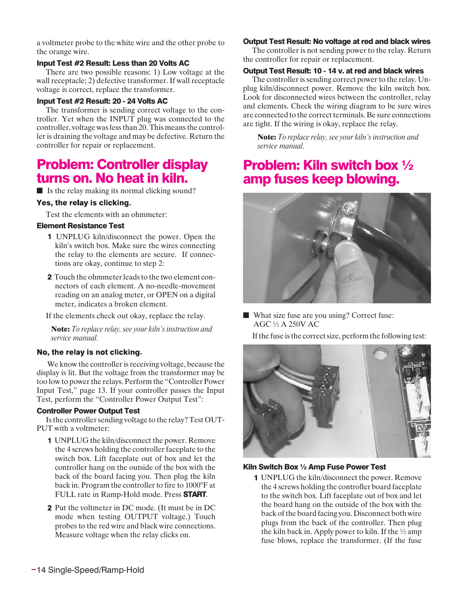a voltmeter probe to the white wire and the other probe to the orange wire.

#### Input Test #2 Result: Less than 20 Volts AC

There are two possible reasons: 1) Low voltage at the wall receptacle; 2) defective transformer. If wall receptacle voltage is correct, replace the transformer.

#### Input Test #2 Result: 20 - 24 Volts AC

The transformer is sending correct voltage to the controller. Yet when the INPUT plug was connected to the controller, voltage was less than 20. This means the controller is draining the voltage and may be defective. Return the controller for repair or replacement.

## Problem: Controller display turns on. No heat in kiln.

■ Is the relay making its normal clicking sound?

#### Yes, the relay is clicking.

Test the elements with an ohmmeter:

#### Element Resistance Test

- UNPLUG kiln/disconnect the power. Open the kiln's switch box. Make sure the wires connecting the relay to the elements are secure. If connections are okay, continue to step 2:
- 2 Touch the ohmmeter leads to the two element connectors of each element. A no-needle-movement reading on an analog meter, or OPEN on a digital meter, indicates a broken element.

If the elements check out okay, replace the relay.

**Note:** *To replace relay, see your kiln's instruction and service manual.*

#### No, the relay is not clicking.

We know the controller is receiving voltage, because the display is lit. But the voltage from the transformer may be too low to power the relays. Perform the "Controller Power Input Test," page 13. If your controller passes the Input Test, perform the "Controller Power Output Test":

#### Controller Power Output Test

Is the controller sending voltage to the relay? Test OUT-PUT with a voltmeter:

- UNPLUG the kiln/disconnect the power. Remove the 4 screws holding the controller faceplate to the switch box. Lift faceplate out of box and let the controller hang on the outside of the box with the back of the board facing you. Then plug the kiln back in. Program the controller to fire to 1000°F at FULL rate in Ramp-Hold mode. Press **START**.
- 2 Put the voltmeter in DC mode. (It must be in DC mode when testing OUTPUT voltage.) Touch probes to the red wire and black wire connections. Measure voltage when the relay clicks on.

#### Output Test Result: No voltage at red and black wires

The controller is not sending power to the relay. Return the controller for repair or replacement.

#### Output Test Result: 10 - 14 v. at red and black wires

The controller is sending correct power to the relay. Unplug kiln/disconnect power. Remove the kiln switch box. Look for disconnected wires between the controller, relay and elements. Check the wiring diagram to be sure wires are connected to the correct terminals. Be sure connections are tight. If the wiring is okay, replace the relay.

**Note:** *To replace relay, see your kiln's instruction and service manual.*

## Problem: Kiln switch box ½ amp fuses keep blowing.



■ What size fuse are you using? Correct fuse: AGC ½ A 250V AC

If the fuse is the correct size, perform the following test:



#### Kiln Switch Box ½ Amp Fuse Power Test

UNPLUG the kiln/disconnect the power. Remove the 4 screws holding the controller board faceplate to the switch box. Lift faceplate out of box and let the board hang on the outside of the box with the back of the board facing you. Disconnect both wire plugs from the back of the controller. Then plug the kiln back in. Apply power to kiln. If the  $\frac{1}{2}$  amp fuse blows, replace the transformer. (If the fuse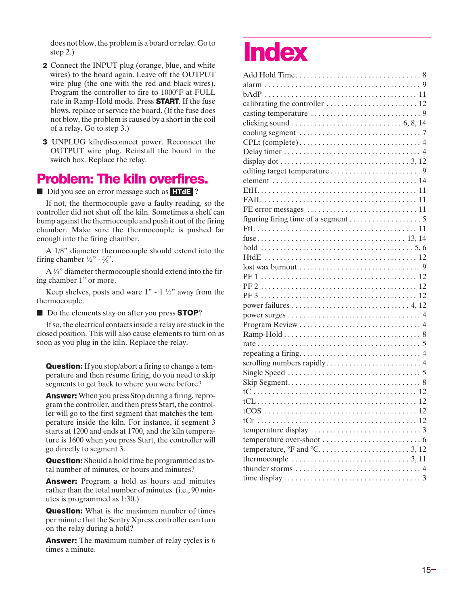does not blow, the problem is a board or relay. Go to step 2.)

- **2** Connect the INPUT plug (orange, blue, and white wires) to the board again. Leave off the OUTPUT wire plug (the one with the red and black wires). Program the controller to fire to 1000°F at FULL rate in Ramp-Hold mode. Press **START**. If the fuse blows, replace or service the board. (If the fuse does not blow, the problem is caused by a short in the coil of a relay. Go to step 3.)
- UNPLUG kiln/disconnect power. Reconnect the OUTPUT wire plug. Reinstall the board in the switch box. Replace the relay.

## Problem: The kiln overfires.

■ Did you see an error message such as **HTCL** ?

If not, the thermocouple gave a faulty reading, so the controller did not shut off the kiln. Sometimes a shelf can bump against the thermocouple and push it out of the firing chamber. Make sure the thermocouple is pushed far enough into the firing chamber.

A 1/8" diameter thermocouple should extend into the firing chamber  $\frac{1}{2}$ " -  $\frac{5}{8}$ ".

A ¼" diameter thermocouple should extend into the firing chamber 1" or more.

Keep shelves, posts and ware  $1"$  -  $1\frac{1}{2}$ " away from the thermocouple.

■ Do the elements stay on after you press **STOP**?

If so, the electrical contacts inside a relay are stuck in the closed position. This will also cause elements to turn on as soon as you plug in the kiln. Replace the relay.

**Question:** If you stop/abort a firing to change a temperature and then resume firing, do you need to skip segments to get back to where you were before?

**Answer:** When you press Stop during a firing, reprogram the controller, and then press Start, the controller will go to the first segment that matches the temperature inside the kiln. For instance, if segment 3 starts at 1200 and ends at 1700, and the kiln temperature is 1600 when you press Start, the controller will go directly to segment 3.

**Question:** Should a hold time be programmed as total number of minutes, or hours and minutes?

**Answer:** Program a hold as hours and minutes rather than the total number of minutes. (i.e., 90 minutes is programmed as 1:30.)

**Question:** What is the maximum number of times per minute that the Sentry Xpress controller can turn on the relay during a hold?

**Answer:** The maximum number of relay cycles is 6 times a minute.

## **Index**

| calibrating the controller $\dots \dots \dots \dots \dots \dots \dots \dots \dots 12$           |  |
|-------------------------------------------------------------------------------------------------|--|
|                                                                                                 |  |
| clicking sound $\ldots \ldots \ldots \ldots \ldots \ldots \ldots \ldots$ 6, 8, 14               |  |
|                                                                                                 |  |
|                                                                                                 |  |
|                                                                                                 |  |
|                                                                                                 |  |
|                                                                                                 |  |
|                                                                                                 |  |
|                                                                                                 |  |
|                                                                                                 |  |
|                                                                                                 |  |
|                                                                                                 |  |
|                                                                                                 |  |
|                                                                                                 |  |
| $hold \dots \dots \dots \dots \dots \dots \dots \dots \dots \dots \dots \dots \dots \dots 5, 6$ |  |
|                                                                                                 |  |
|                                                                                                 |  |
|                                                                                                 |  |
|                                                                                                 |  |
|                                                                                                 |  |
|                                                                                                 |  |
|                                                                                                 |  |
|                                                                                                 |  |
|                                                                                                 |  |
|                                                                                                 |  |
|                                                                                                 |  |
|                                                                                                 |  |
|                                                                                                 |  |
|                                                                                                 |  |
|                                                                                                 |  |
|                                                                                                 |  |
|                                                                                                 |  |
|                                                                                                 |  |
|                                                                                                 |  |
|                                                                                                 |  |
|                                                                                                 |  |
|                                                                                                 |  |
|                                                                                                 |  |
|                                                                                                 |  |